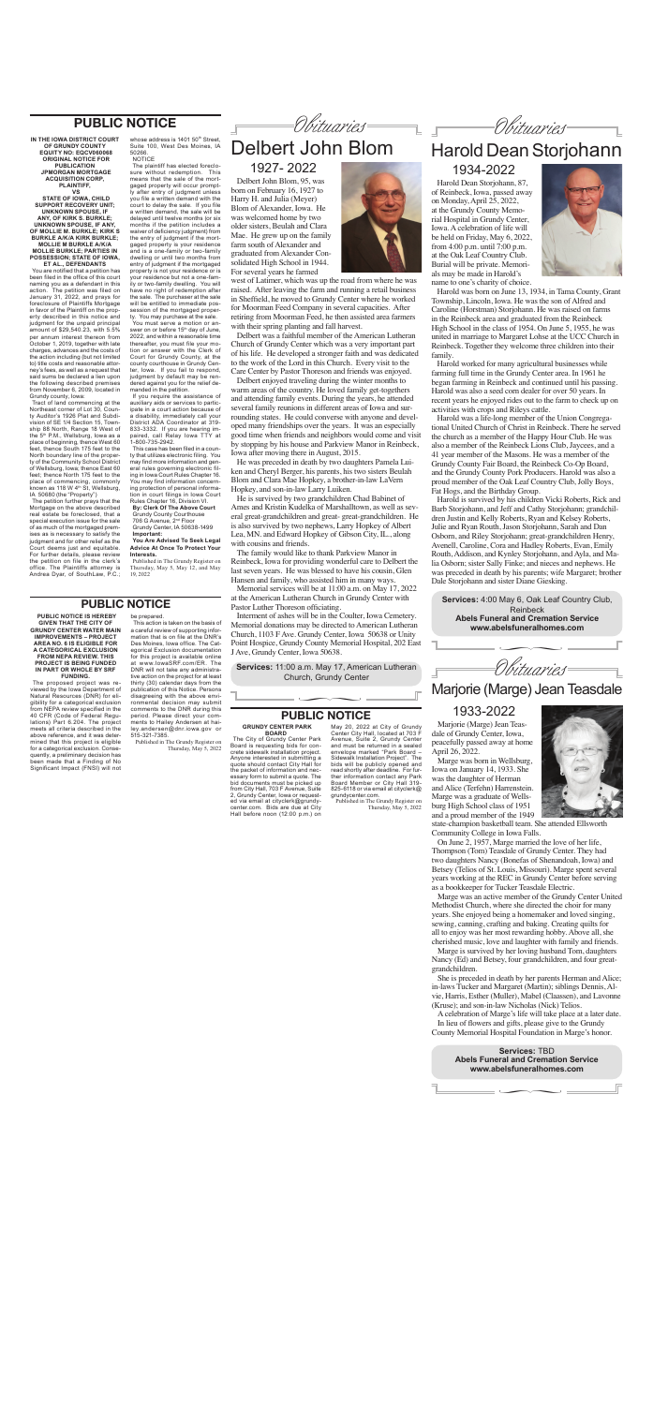Marjorie (Marge) Jean Teasdale

**Services:** TBD **Abels Funeral and Cremation Service www.abelsfuneralhomes.com**

 $\sim$ 



Marjorie (Marge) Jean Teasdale of Grundy Center, Iowa,

peacefully passed away at home April 26, 2022.

Marge was born in Wellsburg, Iowa on January 14, 1933. She was the daughter of Herman and Alice (Terfehn) Harrenstein. Marge was a graduate of Wellsburg High School class of 1951 and a proud member of the 1949



On June 2, 1957, Marge married the love of her life, Thompson (Tom) Teasdale of Grundy Center. They had two daughters Nancy (Bonefas of Shenandoah, Iowa) and Betsey (Telios of St. Louis, Missouri). Marge spent several years working at the REC in Grundy Center before serving as a bookkeeper for Tucker Teasdale Electric.

Marge was an active member of the Grundy Center United Methodist Church, where she directed the choir for many years. She enjoyed being a homemaker and loved singing, sewing, canning, crafting and baking. Creating quilts for all to enjoy was her most rewarding hobby. Above all, she cherished music, love and laughter with family and friends.

Marge is survived by her loving husband Tom, daughters Nancy (Ed) and Betsey, four grandchildren, and four greatgrandchildren.

She is preceded in death by her parents Herman and Alice; in-laws Tucker and Margaret (Martin); siblings Dennis, Alvie, Harris, Esther (Muller), Mabel (Claassen), and Lavonne (Kruse); and son-in-law Nicholas (Nick) Telios.

A celebration of Marge's life will take place at a later date. In lieu of flowers and gifts, please give to the Grundy County Memorial Hospital Foundation in Marge's honor.

# 1933-2022

Obituaries

# Harold Dean Storjohann

**Services:** 4:00 May 6, Oak Leaf Country Club, Reinbeck **Abels Funeral and Cremation Service www.abelsfuneralhomes.com**

Obituaries  $\sim$ 



**Services:** 11:00 a.m. May 17, American Lutheran Church, Grundy Center  $\frac{1}{\sqrt{1-\frac{1}{2}}}\left( \frac{1}{\sqrt{1-\frac{1}{2}}}\right)$ 

of Reinbeck, Iowa, passed away on Monday, April 25, 2022, at the Grundy County Memorial Hospital in Grundy Center, Iowa. A celebration of life will be held on Friday, May 6, 2022, from 4:00 p.m. until 7:00 p.m. at the Oak Leaf Country Club. Burial will be private. Memorials may be made in Harold's name to one's charity of choice.

Harold was born on June 13, 1934, in Tama County, Grant Township, Lincoln, Iowa. He was the son of Alfred and Caroline (Horstman) Storjohann. He was raised on farms in the Reinbeck area and graduated from the Reinbeck High School in the class of 1954. On June 5, 1955, he was united in marriage to Margaret Lohse at the UCC Church in Reinbeck. Together they welcome three children into their family.

Harold worked for many agricultural businesses while farming full time in the Grundy Center area. In 1961 he began farming in Reinbeck and continued until his passing. Harold was also a seed corn dealer for over 50 years. In recent years he enjoyed rides out to the farm to check up on activities with crops and Rileys cattle.

Harold Dean Storjohann, 87, 1934-2022

Harold was a life-long member of the Union Congregational United Church of Christ in Reinbeck. There he served the church as a member of the Happy Hour Club. He was also a member of the Reinbeck Lions Club, Jaycees, and a 41 year member of the Masons. He was a member of the Grundy County Fair Board, the Reinbeck Co-Op Board, and the Grundy County Pork Producers. Harold was also a proud member of the Oak Leaf Country Club, Jolly Boys, Fat Hogs, and the Birthday Group.

Harold is survived by his children Vicki Roberts, Rick and Barb Storjohann, and Jeff and Cathy Storjohann; grandchildren Justin and Kelly Roberts, Ryan and Kelsey Roberts, Julie and Ryan Routh, Jason Storjohann, Sarah and Dan Osborn, and Riley Storjohann; great-grandchildren Henry, Avenell, Caroline, Cora and Hadley Roberts, Evan, Emily Routh, Addison, and Kynley Storjohann, and Ayla, and Malia Osborn; sister Sally Finke; and nieces and nephews. He was preceded in death by his parents; wife Margaret; brother Dale Storjohann and sister Diane Giesking.



# Delbert John Blom



Delbert John Blom, 95, was born on February 16, 1927 to Harry H. and Julia (Meyer) Blom of Alexander, Iowa. He was welcomed home by two older sisters, Beulah and Clara Mae. He grew up on the family farm south of Alexander and graduated from Alexander Consolidated High School in 1944. For several years he farmed

The petition further prays that the Mortgage on the above described real estate be foreclosed, that a special execution issue for the sale of as much of the mortgaged premises as is necessary to satisfy the judgment and for other relief as the Court deems just and equitable. For further details, please review the petition on file in the clerk's office. The Plaintiffs attorney is Andrea Dyar, of SouthLaw, P.C.;

whose address is 1401 50<sup>th</sup> Street. Suite 100, West Des Moines, IA 50266. **NOTICE** 

> west of Latimer, which was up the road from where he was raised. After leaving the farm and running a retail business in Sheffield, he moved to Grundy Center where he worked for Moorman Feed Company in several capacities. After retiring from Moorman Feed, he then assisted area farmers with their spring planting and fall harvest.

Delbert was a faithful member of the American Lutheran Church of Grundy Center which was a very important part of his life. He developed a stronger faith and was dedicated to the work of the Lord in this Church. Every visit to the Care Center by Pastor Thoreson and friends was enjoyed.

Delbert enjoyed traveling during the winter months to warm areas of the country. He loved family get-togethers and attending family events. During the years, he attended several family reunions in different areas of Iowa and surrounding states. He could converse with anyone and developed many friendships over the years. It was an especially good time when friends and neighbors would come and visit by stopping by his house and Parkview Manor in Reinbeck, Iowa after moving there in August, 2015.

He was preceded in death by two daughters Pamela Luiken and Cheryl Berger, his parents, his two sisters Beulah Blom and Clara Mae Hopkey, a brother-in-law LaVern Hopkey, and son-in-law Larry Luiken.

He is survived by two grandchildren Chad Babinet of Ames and Kristin Kudelka of Marshalltown, as well as several great-grandchildren and great- great-grandchildren. He is also survived by two nephews, Larry Hopkey of Albert Lea, MN. and Edward Hopkey of Gibson City, IL., along with cousins and friends.

Published in The Grundy Register on Thursday, May 5, 2022

The family would like to thank Parkview Manor in Reinbeck, Iowa for providing wonderful care to Delbert the last seven years. He was blessed to have his cousin, Glen Hansen and family, who assisted him in many ways.

Memorial services will be at 11:00 a.m. on May 17, 2022 at the American Lutheran Church in Grundy Center with Pastor Luther Thoreson officiating.

Interment of ashes will be in the Coulter, Iowa Cemetery. Memorial donations may be directed to American Lutheran Church, 1103 F Ave. Grundy Center, Iowa 50638 or Unity Point Hospice, Grundy County Memorial Hospital, 202 East J Ave, Grundy Center, Iowa 50638.

### 1927- 2022

#### **PUBLIC NOTICE**

**IN THE IOWA DISTRICT COURT OF GRUNDY COUNTY EQUITY NO: EQCV060068 ORIGINAL NOTICE FOR PUBLICATION JPMORGAN MORTGAGE ACQUISITION CORP, PLAINTIFF, VS** 

**STATE OF IOWA, CHILD SUPPORT RECOVERY UNIT; UNKNOWN SPOUSE, IF ANY, OF KIRK S. BURKLE; UNKNOWN SPOUSE, IF ANY, OF MOLLIE M. BURKLE; KIRK S BURKLE A/K/A KIRK BURKLE; MOLLIE M BURKLE A/K/A MOLLIE BURKLE; PARTIES IN POSSESSION; STATE OF IOWA, ET AL., DEFENDANTS**

You are notified that a petition has been filed in the office of this court naming you as a defendant in this<br>action. The petition was filed on The petition was filed on January 31, 2022, and prays for foreclosure of Plaintiffs Mortgage in favor of the Plaintiff on the property described in this notice and judgment for the unpaid principal amount of \$29,540.23, with 5.5% per annum interest thereon from October 1, 2019, together with late charges, advances and the costs of the action including (but not limited to) title costs and reasonable attorney's fees, as well as a request that said sums be declared a lien upon the following described premises from November 6, 2009, located in Grundy county, Iowa:

Tract of land commencing at the Northeast corner of Lot 30, County Auditor's 1926 Plat and Subdivision of SE 1/4 Section 15, Township 88 North, Range 18 West of the 5<sup>th</sup> P.M., Wellsburg, Iowa as a<br>place of beginning, thence West 60 feet, thence South 175 feet to the North boundary line of the property of the Community School District of Wellsburg, Iowa; thence East 60 feet; thence North 175 feet to the place of commencing, commonly known as 118 W 4th St, Wellsburg, IA 50680 (the "Property")

The plaintiff has elected foreclosure without redemption. This means that the sale of the mortgaged property will occur promptly after entry of judgment unless you file a written demand with the court to delay the sale. If you file a written demand, the sale will be delayed until twelve months (or six months if the petition includes a waiver of deficiency judgment) from the entry of judgment if the mortgaged property is your residence and is a one-family or two-family dwelling or until two months from entry of judgment if the mortgaged property is not your residence or is your residence but not a one-family or two-family dwelling. You will have no right of redemption after the sale. The purchaser at the sale will be entitled to immediate possession of the mortgaged property. You may purchase at the sale.

You must serve a motion or answer on or before 15<sup>th</sup> day of June, 2022, and within a reasonable time thereafter, you must file your motion or answer with the Clerk of Court for Grundy County, at the county courthouse in Grundy Center, Iowa. If you fail to respond, judgment by default may be rendered against you for the relief demanded in the petition.

If you require the assistance of auxiliary aids or services to participate in a court action because of a disability, immediately call your District ADA Coordinator at 319- 833-3332. If you are hearing impaired, call Relay Iowa TTY at 1-800-735-2942.

This case has been filed in a county that utilizes electronic filing. You may find more information and general rules governing electronic filing in Iowa Court Rules Chapter 16. You may find information concerning protection of personal information in court filings in Iowa Court Rules Chapter 16, Division VI. **By: Clerk Of The Above Court**  Grundy County Courthouse 706 G Avenue, 2nd Floor Grundy Center, IA 50638-1499 **Important:**

**You Are Advised To Seek Legal Advice At Once To Protect Your Interests.**

Published in The Grundy Register on Thursday, May 5, May 12, and May 19, 2022

#### **PUBLIC NOTICE**

**PUBLIC NOTICE IS HEREBY GIVEN THAT THE CITY OF GRUNDY CENTER WATER MAIN IMPROVEMENTS – PROJECT AREA NO. 6 IS ELIGIBLE FOR A CATEGORICAL EXCLUSION FROM NEPA REVIEW. THIS PROJECT IS BEING FUNDED IN PART OR WHOLE BY SRF FUNDING.**

The proposed project was reviewed by the Iowa Department of Natural Resources (DNR) for eligibility for a categorical exclusion from NEPA review specified in the 40 CFR (Code of Federal Regulations) Part 6.204. The project meets all criteria described in the above reference, and it was deter-

mined that this project is eligible for a categorical exclusion. Consequently, a preliminary decision has been made that a Finding of No Significant Impact (FNSI) will not

be prepared. This action is taken on the basis of

a careful review of supporting information that is on file at the DNR's Des Moines, Iowa office. The Categorical Exclusion documentation for this project is available online at www.IowaSRF.com/ER. The DNR will not take any administrative action on the project for at least thirty (30) calendar days from the publication of this Notice. Persons disagreeing with the above environmental decision may submit comments to the DNR during this period. Please direct your comments to Hailey Andersen at hailey.andersen@dnr.iowa.gov or 515-321-7385.

**PUBLIC NOTICE**

**GRUNDY CENTER PARK BOARD**

The City of Grundy Center Park Board is requesting bids for concrete sidewalk installation project. Anyone interested in submitting a quote should contact City Hall for the packet of information and necessary form to submit a quote. The bid documents must be picked up from City Hall, 703 F Avenue, Suite 2, Grundy Center, Iowa or requested via email at cityclerk@grundy-center.com. Bids are due at City Hall before noon (12:00 p.m.) on

May 20, 2022 at City of Grundy Center City Hall, located at 703 F Avenue, Suite 2, Grundy Center and must be returned in a sealed envelope marked "Park Board – Sidewalk Installation Project". The bids will be publicly opened and read shortly after deadline. For further information contact any Park Board Member or City Hall 319- 825-6118 or via email at cityclerk@ grundycenter.com.

Published in The Grundy Register on Thursday, May 5, 2022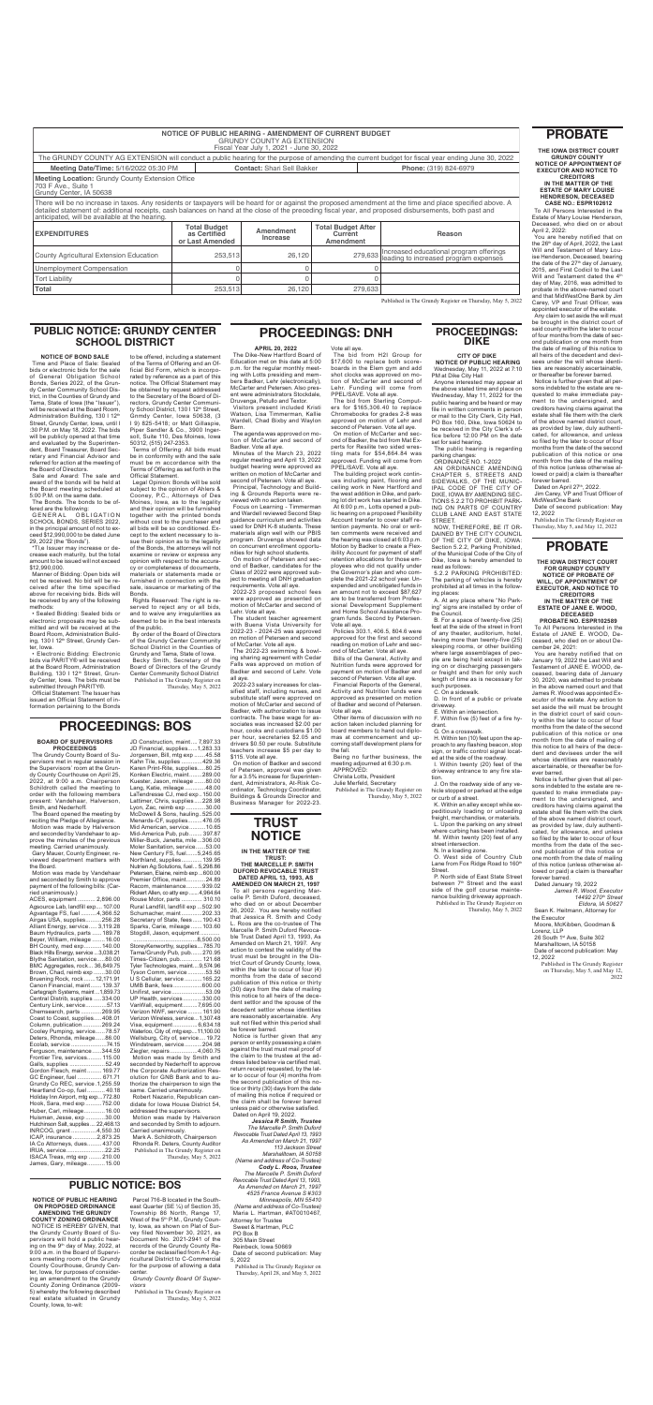|                                                                                                                                                                                                                               | <b>NOTICE OF PUBLIC HEARING - AMENDMENT OF CURRENT BUDGET</b> | <b>GRUNDY COUNTY AG EXTENSION</b><br>Fiscal Year July 1, 2021 - June 30, 2022 |                                                   |                                                                                                                                                  |  |
|-------------------------------------------------------------------------------------------------------------------------------------------------------------------------------------------------------------------------------|---------------------------------------------------------------|-------------------------------------------------------------------------------|---------------------------------------------------|--------------------------------------------------------------------------------------------------------------------------------------------------|--|
|                                                                                                                                                                                                                               |                                                               |                                                                               |                                                   | The GRUNDY COUNTY AG EXTENSION will conduct a public hearing for the purpose of amending the current budget for fiscal year ending June 30, 2022 |  |
| Meeting Date/Time: 5/16/2022 05:30 PM                                                                                                                                                                                         |                                                               | <b>Contact: Shari Sell Bakker</b>                                             |                                                   | Phone: (319) 824-6979                                                                                                                            |  |
| <b>Meeting Location: Grundy County Extension Office</b><br>703 F Ave., Suite 1<br>Grundy Center, IA 50638                                                                                                                     |                                                               |                                                                               |                                                   |                                                                                                                                                  |  |
| There will be no increase in taxes. Any residents or taxpayers will be heard for or against the proposed amendment at the time and place specified above. A detailed statement of: additional receipts, cash balances on hand |                                                               |                                                                               |                                                   |                                                                                                                                                  |  |
|                                                                                                                                                                                                                               | <b>Total Budget</b><br>as Certified<br>or Last Amended        | Amendment<br>Increase                                                         | <b>Total Budget After</b><br>Current<br>Amendment | Reason                                                                                                                                           |  |
|                                                                                                                                                                                                                               | 253.513                                                       | 26,120                                                                        | 279,633                                           | Increased educational program offerings<br>leading to increased program expenses                                                                 |  |
| anticipated, will be available at the hearing.<br><b>EXPENDITURES</b><br>County Agricultural Extension Education<br>Unemployment Compensation                                                                                 |                                                               |                                                                               |                                                   |                                                                                                                                                  |  |

### **TRUST NOTICE**

**CASE NO.: ESPR102612** All Persons Interested in the Far Fereens micrositis in the ceased, who died on or about  $H = 2022$ 

u are hereby notified that on the 26™ day of April, 2022, the Last<br>Will and Testament of Mary Lou-Henderson, Deceased, bearing date of the 27<sup>th</sup> day of January, 5, and First Codicil to the Last and Testament dated the 4<sup>th</sup> day of May, 2016, was admitted to probate in the above-named court and that MidWestOne Bank by Jim Carey, VP and Trust Officer, was appointed executor of the estate.

Dated on April 27th, 2022. Jim Carey, VP and Trust Officer of

*Jessica R Smith, Trustee The Marcelle P. Smith Duford Revocable Trust Dated April 13, 1993 As Amended on March 21, 1997 113 Jackson Street Marshalltown, IA 50158 (Name and address of Co-Trustee) Cody L. Roos, Trustee The Marcelle P. Smith Duford Revocable Trust Dated April 13, 1993, As Amended on March 21, 1997 4525 France Avenue S #303 Minneapolis, MN 55410 (Name and address of Co-Trustee)* Maria L. Hartman, #AT0010467, Attorney for Trustee Sweet & Hartman, PLC PO Box B 305 Main Street Reinbeck, Iowa 50669 Date of second publication: May 5, 2022 Published in The Grundy Register on

ACES, equipment ........... 2,896.00 Agsource Lab, landfill exp.... 107.00 Agvantage FS, fuel ..........4,366.52<br>Airgas USA, supplies .........256.28 Airgas USA, supplies.... Alliant Energy, service..... 3,119.28 Baum Hydraulics, parts ...... 189.78 Beyer, William, mileage ........16.00<br>BH County, med exp ........... 140.00 BH County, med exp.......... Black Hills Energy, service...3,038.21 Blythe Sanitation, service.....80.00 BMC Aggregates, rock... 36,849.75 Brown, Chad, reimb exp .......30.00 Bruening Rock, rock .......12,171.91 Canon Financial, maint.......139.37 Cartegraph Systems, maint ...1,859.73 Central Distrib, supplies .....334.00<br>Century Link. service .............57.13 Century Link, service........ Chemsearch, parts .............269.95 Coast to Coast, supplies.....408.01 Column, publication............269.24 Cooley Pumping, service......78.57 Deters, Rhonda, mileage......86.00<br>Ecolab. service ........................74.15 Ecolab, service ..............................74.15<br>Ferguson, maintenance......344.59 Ferguson, maintenance......344.59<br>Frontier Tire, services......... 115.00 Frontier Tire, services......... 115.00 Galls, supplies .......................52.49<br>Gordon Flesch, maint ......... 169.77 Gordon Flesch, maint ......... 169.77<br>GC Engineer, fuel ............... 671.71 GC Engineer, fuel ... Grundy Co REC, service .1,255.59<br>Heartland Co-op, fuel........... 40.18 Heartland Co-op, fuel ........ Holiday Inn Airport, mtg exp...772.80<br>Hook. Sara. med exp..........752.00 Hook, Sara, med exp..........752.00<br>Huber, Carl, mileage............. 16.00 Huber, Carl, mileage..............16.00<br>Huisman, Jesse, exp............30.00 Huisman, Jesse, exp ............30.00<br>Hutchinson Salt. supplies .... 22.468.13 Hutchinson Salt, supplies.... 22,468.13<br>INRCOG, grant................4,550.30 INRCOG, grant ................4,550.30 ICAP, insurance ...............2,873.25<br>IA Co Attorneys, dues......... 437.00 IA Co Attorneys, dues......... 437.00<br>IRUA, service...........................22.25 IRUA, service..........................22.25<br>ISACA Treas. mtg exp ........210.00 ISACA Treas, mtg exp ........210.00 James, Gary, mileage...

Thursday, April 28, and May 5, 2022

### **PROBATE**

**THE IOWA DISTRICT COURT GRUNDY COUNTY NOTICE OF APPOINTMENT OF** 

**EXECUTOR AND NOTICE TO CREDITORS IN THE MATTER OF THE ESTATE OF MARY LOUISE HENDRESON, DECEASED**

JD Construction, maint .... 7,897.33 JD Financial, supplies......1,283.33

Any claim to set aside the will must be brought in the district court of said county within the later to occur of four months from the date of second publication or one month from the date of mailing of this notice to all heirs of the decedent and devisees under the will whose identities are reasonably ascertainable, or thereafter be forever barred.

Notice is further given that all persons indebted to the estate are requested to make immediate payment to the undersigned, and creditors having claims against the estate shall file them with the clerk of the above named district court, as provided by law, duly authenticated, for allowance, and unless so filed by the later to occur of four months from the date of the second publication of this notice or one month from the date of the mailing of this notice (unless otherwise allowed or paid) a claim is thereafter forever barred.

Rhonda R. Deters, County Auditor Published in The Grundy Register on Thursday, May 5, 2022 MidWestOne Bank Date of second publication: May

12, 2022 Published in The Grundy Register on

You are hereby notified that on January 19, 2022 the Last Will and Testament of JANE E. WOOD, deceased, bearing date of January 30, 2020, was admitted to probate in the above named court and that James R. Wood was appointed Executor of the estate. Any action to set aside the will must be brought in the district court of said county within the later to occur of four months from the date of the second publication of this notice or one  $nth from the data of m$ 

Thursday, May 5, and May 12, 2022

# **PROCEEDINGS: BOS**

#### **BOARD OF SUPERVISORS PROCEEDINGS**

| The Grundy County Board of Su-                                                                      | Jorgensen, Bill, mtg exp 45.58                                 | \$115. Vote all aye.                    | Being no further business, the      | siyn, or tranic control siynal loca        |
|-----------------------------------------------------------------------------------------------------|----------------------------------------------------------------|-----------------------------------------|-------------------------------------|--------------------------------------------|
| pervisors met in regular session in                                                                 | Kahn Tile, supplies 429.36                                     | On motion of Badker and second          | meeting adjourned at 6:30 p.m.      | ed at the side of the roadway.             |
| the Supervisors' room at the Grun-                                                                  | Karen Print-Rite, supplies80.25                                | of Petersen, approval was given         | APPROVED:                           | I. Within twenty (20) feet of th           |
| dy County Courthouse on April 25,                                                                   | Konken Electric, maint289.00                                   | for a 3.5% increase for Superinten-     | Christa Lotts, President            | driveway entrance to any fire sta          |
| 2022, at 9:00 a.m. Chairperson                                                                      | Kuester, Jason, mileage 80.00                                  | dent, Administrators, At-Risk Co-       | Julie Merfeld, Secretary            | tion.                                      |
| Schildroth called the meeting to                                                                    | Lang, Katie, mileage48.00                                      | ordinator, Technology Coordinator,      | Published in The Grundy Register on | J. On the roadway side of any ve           |
| order with the following members                                                                    | LaTendresse CJ, med exp150.00                                  | Buildings & Grounds Director and        | Thursday, May 5, 2022               | hicle stopped or parked at the edg         |
| present: Vandehaar, Halverson,                                                                      | Lattimer, Chris, supplies228.98                                | Business Manager for 2022-23.           |                                     | or curb of a street.                       |
| Smith, and Nederhoff.                                                                               | Lyon, Zac, reimb exp 30.00                                     |                                         |                                     | K. Within an alley except while ex         |
| The Board opened the meeting by                                                                     | McDowell & Sons, hauling525.00                                 |                                         |                                     | peditiously loading or unloadin            |
| reciting the Pledge of Allegiance.                                                                  | Menards-CF, supplies476.05                                     | <b>TRUST</b>                            |                                     | freight, merchandise, or materials         |
| Motion was made by Halverson                                                                        | Mid American, service 10.65                                    |                                         |                                     | L. Upon the parking on any stree           |
| and seconded by Vandehaar to ap-                                                                    | Mid-America Pub, pub 397.87                                    | <b>NOTICE</b>                           |                                     | where curbing has been installed.          |
| prove the minutes of the previous                                                                   | Miller-Buck, Janetta, mile306.00                               |                                         |                                     | M. Within twenty (20) feet of an           |
| meeting. Carried unanimously.                                                                       | Moler Sanitation, service53.00                                 |                                         |                                     | street intersection.                       |
| Gary Mauer, County Engineer, re-                                                                    | New Century FS, fuel5,245.65                                   | IN THE MATTER OF THE                    |                                     | N. In a loading zone.                      |
| viewed department matters with                                                                      | Northland, supplies 139.95                                     | <b>TRUST:</b>                           |                                     | O. West side of Country Clu                |
| the Board.                                                                                          | Nutrien Ag Solutions, fuel 5,298.86                            | THE MARCELLE P. SMITH                   |                                     | Lane from Fox Ridge Road to 160            |
| Motion was made by Vandehaar                                                                        | Petersen, Elaine, reimb exp600.00                              | <b>DUFORD REVOCABLE TRUST</b>           |                                     | Street.                                    |
| and seconded by Smith to approve                                                                    | Premier Office, maint24.89                                     | DATED APRIL 13, 1993, AS                |                                     | P. North side of East State Stree          |
| payment of the following bills: (Car-                                                               | Racom, maintenance939.02                                       | <b>AMENDED ON MARCH 21, 1997</b>        |                                     | between 7 <sup>th</sup> Street and the eas |
| ried unanimously.)                                                                                  | Rickert Allen, co atty exp  4,964.64                           | To all persons regarding Mar-           |                                     | side of the golf course mainte             |
| ACES, equipment  2,896.00                                                                           | Rouse Motor, parts 310.10                                      | celle P. Smith Duford, deceased,        |                                     | nance building driveway approach           |
| Agsource Lab, landfill exp 107.00                                                                   | Rural Landfill, landfill exp 502.90                            | who died on or about December           |                                     | Published in The Grundy Register of        |
| Agvantage FS, fuel 4,366.52                                                                         | Schumacher, maint202.33                                        | 26, 2002. You are hereby notified       |                                     | Thursday, May 5, 202                       |
| Airgas USA, supplies256.28                                                                          | Secretary of State, fees190.43                                 | that Jessica R. Smith and Cody          |                                     |                                            |
| Alliant Energy, service 3,119.28                                                                    | Sparks, Carie, mileage  103.60                                 | L. Roos are the co-trustee of The       |                                     |                                            |
| Baum Hydraulics, parts  189.78                                                                      | Stogdill, Jason, equipment                                     | Marcelle P. Smith Duford Revoca-        |                                     |                                            |
| Beyer, William, mileage  16.00                                                                      |                                                                | ble Trust Dated April 13, 1993, As      |                                     |                                            |
| BH County, med exp 140.00                                                                           | StoreyKenworthy, supplies785.70                                | Amended on March 21, 1997. Any          |                                     |                                            |
| Black Hills Energy, service  3,038.21                                                               | Tama/Grundy Pub, pub270.95                                     | action to contest the validity of the   |                                     |                                            |
| Blythe Sanitation, service80.00                                                                     |                                                                | trust must be brought in the Dis-       |                                     |                                            |
| BMC Aggregates, rock 36,849.75                                                                      | Times-Citizen, pub 121.68<br>Tyler Technologies, maint9,574.96 | trict Court of Grundy County, Iowa,     |                                     |                                            |
| Brown, Chad, reimb exp 30.00                                                                        | Tyson Comm, service53.50                                       | within the later to occur of four (4)   |                                     |                                            |
|                                                                                                     | U S Cellular, service  165.22                                  | months from the date of second          |                                     |                                            |
| Bruening Rock, rock 12,171.91                                                                       |                                                                | publication of this notice or thirty    |                                     |                                            |
| Canon Financial, maint 139.37                                                                       | UMB Bank, fees600.00                                           | (30) days from the date of mailing      |                                     |                                            |
| Cartegraph Systems, maint 1,859.73                                                                  | Unifirst, service53.09                                         | this notice to all heirs of the dece-   |                                     |                                            |
| Central Distrib, supplies 334.00                                                                    | UP Health, services330.00                                      | dent settlor and the spouse of the      |                                     |                                            |
| Century Link, service57.13                                                                          | VanWall, equipment7,695.00                                     | decedent settlor whose identities       |                                     |                                            |
| Chemsearch, parts269.95                                                                             | Verizon NWF, service  161.90                                   | are reasonably ascertainable. Any       |                                     |                                            |
| Coast to Coast, supplies408.01                                                                      | Verizon Wireless, service 1,307.48                             | suit not filed within this period shall |                                     |                                            |
| Column, publication269.24                                                                           | Visa, equipment 6,634.18                                       | be forever barred.                      |                                     |                                            |
| Cooley Pumping, service78.57                                                                        | Waterloo, City of, mtg exp11,100.00                            | Notice is further given that any        |                                     |                                            |
| Deters, Rhonda, mileage86.00                                                                        | Wellsburg, City of, service 19.72                              | person or entity possessing a claim     |                                     |                                            |
| Ecolab, service 74.15                                                                               | Windstream, service204.98                                      | against the trust must mail proof of    |                                     |                                            |
| Ferguson, maintenance344.59                                                                         | Ziegler, repairs4,060.75                                       | the claim to the trustee at the ad-     |                                     |                                            |
| Frontier Tire, services 115.00                                                                      | Motion was made by Smith and                                   | dress listed below via certified mail,  |                                     |                                            |
| Galls, supplies 52.49                                                                               | seconded by Nederhoff to approve                               | return receipt requested, by the lat-   |                                     |                                            |
| Gordon Flesch, maint  169.77                                                                        | the Corporate Authorization Res-                               | er to occur of four (4) months from     |                                     |                                            |
| GC Engineer, fuel  671.71                                                                           | olution for GNB Bank and to au-                                | the second publication of this no-      |                                     |                                            |
| Grundy Co REC, service.1,255.59                                                                     | thorize the chairperson to sign the                            | tice or thirty (30) days from the date  |                                     |                                            |
| Heartland Co-op, fuel 40.18                                                                         | same. Carried unanimously.                                     | of mailing this notice if required or   |                                     |                                            |
| Holiday Inn Airport, mtg exp772.80                                                                  | Robert Nazario, Republican can-                                | the claim shall be forever barred       |                                     |                                            |
| Hook, Sara, med exp752.00                                                                           | didate for Iowa House District 54,                             | unless paid or otherwise satisfied.     |                                     |                                            |
| Huber, Carl, mileage 16.00                                                                          | addressed the supervisors.                                     | Dated on April 19, 2022.                |                                     |                                            |
| Huisman, Jesse, exp 30.00                                                                           | Motion was made by Halverson                                   | <b>Jessica R Smith, Trustee</b>         |                                     |                                            |
| Hutchinson Salt, supplies  22,468.13                                                                | and seconded by Smith to adjourn.                              | The Marcelle P. Smith Duford            |                                     |                                            |
| INRCOG, grant 4,550.30                                                                              | Carried unanimously.                                           | Revocable Trust Dated April 13, 1993    |                                     |                                            |
| ICAP, insurance 2,873.25<br>$\Lambda$ $\Omega$ = $\Lambda$ $\mu$ = $\mu$ = $\mu$ = $\mu$ = $\sigma$ | Mark A. Schildroth, Chairperson<br>Dhamala D. Datana           | As Amended on March 21, 1997            |                                     |                                            |
|                                                                                                     |                                                                |                                         |                                     |                                            |

> on Thursday, May 5, and May 12, 2022

Minutes of the March 23, 2022 regular meeting and April 13, 2022 budget hearing were approved as written on motion of McCarter and second of Petersen. Vote all ave.

> Other items of discussion with no action taken included planning for board members to hand out diplomas at commencement and up-

#### **PROBATE**

**THE IOWA DISTRICT COURT FOR GRUNDY COUNTY** 

**NOTICE OF PROBATE OF WILL, OF APPOINTMENT OF EXECUTOR, AND NOTICE TO** 

**CREDITORS IN THE MATTER OF THE** 

**ESTATE OF JANE E. WOOD, DECEASED PROBATE NO. ESPR102589**

To All Persons Interested in the Estate of JANE E. WOOD, Deceased, who died on or about December 24, 2021:

this notice to all heirs of the decedent and devisees under the will whose identities are reasonably ascertainable, or thereafter be forever barred.

Notice is further given that all persons indebted to the estate are requested to make immediate payment to the undersigned, and creditors having claims against the estate shall file them with the clerk of the above named district court, as provided by law, duly authenticated, for allowance, and unless so filed by the later to occur of four months from the date of the second publication of this notice or one month from the date of mailing of this notice (unless otherwise allowed or paid) a claim is thereafter forever barred.

Dated January 19, 2022 *James R. Wood, Executor 14492 270th Street*

*Eldora, IA 50627* Sean K. Heitmann, Attorney for the Executor Moore, McKibben, Goodman & Lorenz, LLP 26 South 1st Ave, Suite 302 Marshalltown, IA 50158 Date of second publication: May 12, 2022 Published in The Grundy Register

#### **PUBLIC NOTICE: BOS**

#### **NOTICE OF PUBLIC HEARING ON PROPOSED ORDINANCE AMENDING THE GRUNDY**

**COUNTY ZONING ORDINANCE** NOTICE IS HEREBY GIVEN, that the Grundy County Board of Supervisors will hold a public hearing on the 9<sup>th</sup> day of May, 2022, at<br>9:00 a.m. in the Board of Supervisors meeting room of the Grundy County Courthouse, Grundy Center, Iowa, for purposes of considering an amendment to the Grundy County Zoning Ordinance (2009- 5) whereby the following described real estate situated in Grundy County, Iowa, to-wit:

Parcel 716-B located in the Southeast Quarter (SE ¼) of Section 35, Township 86 North, Range 17, West of the 5<sup>th</sup> P.M., Grundy County, Iowa, as shown on Plat of Survey filed November 30, 2021, as Document No. 2021-2941 of the records of the Grundy County Recorder be reclassified from A-1 Agricultural District to C-Commercial for the purpose of allowing a data center.

*Grundy County Board Of Supervisors* Published in The Grundy Register on

Thursday, May 5, 2022

## **PROCEEDINGS: DNH**

**APRIL 20, 2022**

The Dike-New Hartford Board of Education met on this date at 5:00 p.m. for the regular monthly meeting with Lotts presiding and members Badker, Lehr (electronically) McCarter and Petersen. Also present were administrators Stockdale, Druvenga, Petullo and Textor.

Visitors present included Kristi Watson, Lisa Timmerman, Kallie Wardell, Chad Bixby and Waylon Bern.

The agenda was approved on motion of McCarter and second of Badker. Vote all aye.

Principal, Technology and Building & Grounds Reports were reviewed with no action taken.

Focus on Learning - Timmerman and Wardell reviewed Second Step guidance curriculum and activities used for DNH K-8 students. These materials align well with our PBIS program. Druvenga showed data on concurrent enrollment opportunities for high school students.

On motion of Petersen and second of Badker, candidates for the Class of 2022 were approved subject to meeting all DNH graduation requirements. Vote all aye.

2022-23 proposed school fees were approved as presented on motion of McCarter and second of Lehr. Vote all aye.

The student teacher agreement with Buena Vista University for 2022-23 - 2024-25 was approved on motion of Petersen and second of McCarter. Vote all aye.

The 2022-23 swimming & bowling sharing agreement with Cedar Falls was approved on motion of Badker and second of Lehr. Vote

all aye. 2022-23 salary increases for classified staff, including nurses, and substitute staff were approved on motion of McCarter and second of Badker, with authorization to issue contracts. The base wage for associates was increased \$2.00 per hour, cooks and custodians \$1.00 per hour, secretaries \$2.05 and drivers \$0.50 per route. Substitute teachers increase \$5 per day to \$115. Vote all aye. On motion of Badker and second of Petersen, approval was given for a 3.5% increase for Superintendent, Administrators, At-Risk Coordinator, Technology Coordinator, Buildings & Grounds Director and Business Manager for 2022-23.

Vote all aye.

The bid from H2I Group for \$17,600 to replace both scoreboards in the Elem gym and add shot clocks was approved on motion of McCarter and second of Lehr. Funding will come from PPEL/SAVE. Vote all aye.

The bid from Sterling Computers for \$165,306.40 to replace Chromebooks for grades 2-8 was approved on motion of Lehr and second of Petersen. Vote all aye.

On motion of McCarter and second of Badker, the bid from Mat Experts for Resilite two sided wrestling mats for \$54,864.84 was approved. Funding will come from PPEL/SAVE. Vote all aye.

The building project work continues including paint, flooring and ceiling work in New Hartford and the west addition in Dike, and parking lot dirt work has started in Dike. At 6:00 p.m., Lotts opened a public hearing on a proposed Flexibility Account transfer to cover staff retention payments. No oral or written comments were received and the hearing was closed at 6:03 p.m. Motion by Badker to create a Flexibility Account for payment of staff retention allocations for those employees who did not qualify under the Governor's plan and who complete the 2021-22 school year. Unexpended and unobligated funds in an amount not to exceed \$87,627 are to be transferred from Professional Development Supplement and Home School Assistance Program funds. Second by Petersen. Vote all aye.

Policies 303.1, 406.5, 804.6 were approved for the first and second reading on motion of Lehr and second of McCarter. Vote all aye.

Bills of the General, Activity and Nutrition funds were approved for payment on motion of Badker and second of Petersen. Vote all aye. Financial Reports of the General, Activity and Nutrition funds were approved as presented on motion of Badker and second of Petersen. Vote all aye.

coming staff development plans for the fall.

#### **PUBLIC NOTICE: GRUNDY CENTER SCHOOL DISTRICT**

#### **NOTICE OF BOND SALE**

Time and Place of Sale: Sealed bids or electronic bids for the sale of General Obligation School Bonds, Series 2022, of the Grundy Center Community School District, in the Counties of Grundy and Tama, State of Iowa (the "Issuer"), will be received at the Board Room, Administration Building, 130 I 12<sup>th</sup> Street, Grundy Center, Iowa, until I :30 P.M. on May 18, 2022. The bids will be publicly opened at that time and evaluated by the Superintendent, Board Treasurer, Board Secretary and Financial Advisor and referred for action at the meeting of the Board of Directors.

Sale and Award: The sale and award of the bonds will be held at the Board meeting scheduled at 5:00 P.M. on the same date. The Bonds. The bonds to be of-

fered are the following: GENERAL OBLIGATION SCHOOL BONDS, SERIES 2022, in the principal amount of not to exceed \$12,990,000 to be dated June 29, 2022 (the "Bonds").

\*Tl,e Issuer may increase or decrease each maturity, but the total amount to be issued will not exceed \$12,990,000.

Manner of Bidding: Open bids will not be received. No bid will be received after the time specified above for receiving bids. Bids will be received by any of the following methods:

• Sealed Bidding: Sealed bids or electronic proposals may be submitted and will be received at the Board Room, Administration Building, 130 I 12<sup>th</sup> Street, Grundy Center, Iowa.

• Electronic Bidding: Electronic bids via PARITY® will be received at the Board Room, Administration Building, 130 I 12<sup>th</sup> Street, Grundy Center, Iowa. The bids must be submitted through PARITY®.

Official Statement: The Issuer has issued an Official Statement of information pertaining to the Bonds

to be offered, including a statement of the Terms of Offering and an Official Bid Form, which is incorporated by reference as a part of this notice. The Official Statement may be obtained by request addressed to the Secretary of the Board of Directors, Grundy Center Community School District, 130 I 12<sup>th</sup> Street, Gnmdy Center, Iowa 50638, (3 I 9) 825-5418; or Matt Gillaspie, Piper Sandler & Co., 3900 Ingersoll, Suite 110, Des Moines, Iowa 50312, (515) 247-2353.

**Total** 26,120 279,633 26,120 279,633

Terms of Offering: All bids must be in conformity with and the sale must be m accordance with the Terms of Offering as set forth in the Official Statement.

Legal Opinion: Bonds will be sold subject to the opinion of Ahlers & Cooney, P.C., Attorneys of Des Moines, Iowa, as to the legality and their opinion will be furnished together with the printed bonds without cost to the purchaser and all bids will be so conditioned. Except to the extent necessary to issue their opinion as to the legality of the Bonds, the attorneys will not examine or review or express any opinion with respect to the accuracy or completeness of documents, materials or statements made or furnished in connection with the sale, issuance or marketing of the Bonds.

Rights Reserved: The right is reserved to reject any or all bids, and to waive any irregularities as deemed to be in the best interests of the public.

By order of the Board of Directors of the Grundy Center Community School District in the Counties of Grundy and Tama, State of Iowa. Becky Smith, Secretary of the Board of Directors of the Grundy Center Community School District Published in The Grundy Register on Thursday, May 5, 2022

#### **PROCEEDINGS: DIKE**

#### **CITY OF DIKE**

**NOTICE OF PUBLIC HEARING** Wednesday, May 11, 2022 at 7:10 PM at Dike City Hall

Anyone interested may appear at the above stated time and place on Wednesday, May 11, 2022 for the public hearing and be heard or may file in written comments in person or mail to the City Clerk, City Hall, PO Box 160, Dike, Iowa 50624 to be received in the City Clerk's office before 12:00 PM on the date set for said hearing.

The public hearing is regarding parking changes:

ORDINANCE NO. 1-2022 AN ORDINANCE AMENDING CHAPTER 5, STREETS AND SIDEWALKS, OF THE MUNIC-IPAL CODE OF THE CITY OF DIKE, IOWA BY AMENDING SEC-TIONS 5.2.2 TO PROHIBIT PARK-ING ON PARTS OF COUNTRY CLUB LANE AND EAST STATE STREET.

NOW, THEREFORE, BE IT OR-DAINED BY THE CITY COUNCIL OF THE CITY OF DIKE, IOWA: Section 5.2.2, Parking Prohibited, of the Municipal Code of the City of Dike, Iowa is hereby amended to read as follows:

5.2.2 PARKING PROHIBITED: The parking of vehicles is hereby prohibited at all times in the following places:

A. At any place where "No Parking" signs are installed by order of the Council.

B. For a space of twenty-five (25) feet at the side of the street in front of any theater, auditorium, hotel, having more than twenty-five (25) sleeping rooms, or other building where large assemblages of people are being held except in taking on or discharging passengers or freight and then for only such length of time as is necessary for such purposes.

C. On a sidewalk.

D. In front of a public or private driveway. E. Within an intersection.

F. Within five (5) feet of a fire hydrant.

G. On a crosswalk.

H. Within ten (10) feet upon the ap-

proach to any flashing beacon, stop sign, or traffic control signal located at the side of the roadway.

I. Within twenty (20) feet of the driveway entrance to any fire station.

J. On the roadway side of any vehicle stopped or parked at the edge or curb of a street.

P. North side of East State Street between 7<sup>th</sup> Street and the east side of the golf course maintenance building driveway approach. Published in The Grundy Register on Thursday, May 5, 2022

Published in The Grundy Register on Thursday, May 5, 2022